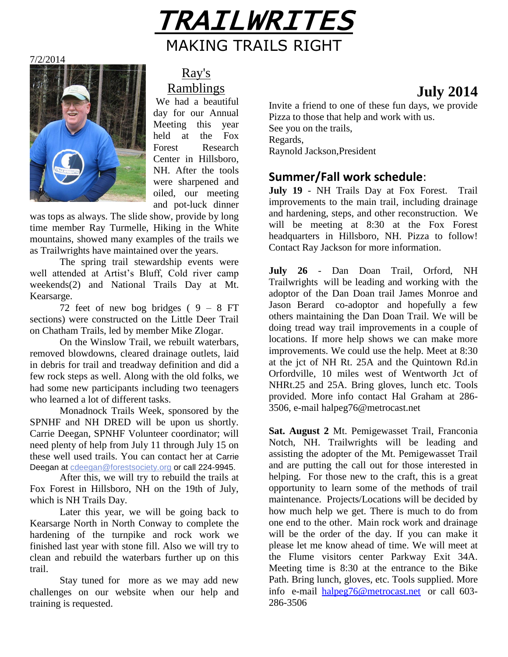

7/2/2014



Ray's Ramblings

We had a beautiful day for our Annual Meeting this year held at the Fox Forest Research Center in Hillsboro, NH. After the tools were sharpened and oiled, our meeting and pot-luck dinner

was tops as always. The slide show, provide by long time member Ray Turmelle, Hiking in the White mountains, showed many examples of the trails we as Trailwrights have maintained over the years.

The spring trail stewardship events were well attended at Artist's Bluff, Cold river camp weekends(2) and National Trails Day at Mt. Kearsarge.

72 feet of new bog bridges  $(9 - 8)$  FT sections) were constructed on the Little Deer Trail on Chatham Trails, led by member Mike Zlogar.

On the Winslow Trail, we rebuilt waterbars, removed blowdowns, cleared drainage outlets, laid in debris for trail and treadway definition and did a few rock steps as well. Along with the old folks, we had some new participants including two teenagers who learned a lot of different tasks.

Monadnock Trails Week, sponsored by the SPNHF and NH DRED will be upon us shortly. Carrie Deegan, SPNHF Volunteer coordinator; will need plenty of help from July 11 through July 15 on these well used trails. You can contact her at Carrie Deegan at [cdeegan@forestsociety.org](mailto:cdeegan@forestsociety.org?subject=Monadnock%20Trails%20Week%202014) or call 224-9945.

After this, we will try to rebuild the trails at Fox Forest in Hillsboro, NH on the 19th of July, which is NH Trails Day.

Later this year, we will be going back to Kearsarge North in North Conway to complete the hardening of the turnpike and rock work we finished last year with stone fill. Also we will try to clean and rebuild the waterbars further up on this trail.

Stay tuned for more as we may add new challenges on our website when our help and training is requested.

# **July 2014**

Invite a friend to one of these fun days, we provide Pizza to those that help and work with us. See you on the trails, Regards, Raynold Jackson,President

### **Summer/Fall work schedule**:

**July 19** - NH Trails Day at Fox Forest. Trail improvements to the main trail, including drainage and hardening, steps, and other reconstruction. We will be meeting at 8:30 at the Fox Forest headquarters in Hillsboro, NH. Pizza to follow! Contact Ray Jackson for more information.

**July 26** - Dan Doan Trail, Orford, NH Trailwrights will be leading and working with the adoptor of the Dan Doan trail James Monroe and Jason Berard co-adoptor and hopefully a few others maintaining the Dan Doan Trail. We will be doing tread way trail improvements in a couple of locations. If more help shows we can make more improvements. We could use the help. Meet at 8:30 at the jct of NH Rt. 25A and the Quintown Rd.in Orfordville, 10 miles west of Wentworth Jct of NHRt.25 and 25A. Bring gloves, lunch etc. Tools provided. More info contact Hal Graham at 286- 3506, e-mail halpeg76@metrocast.net

**Sat. August 2** Mt. Pemigewasset Trail, Franconia Notch, NH. Trailwrights will be leading and assisting the adopter of the Mt. Pemigewasset Trail and are putting the call out for those interested in helping. For those new to the craft, this is a great opportunity to learn some of the methods of trail maintenance. Projects/Locations will be decided by how much help we get. There is much to do from one end to the other. Main rock work and drainage will be the order of the day. If you can make it please let me know ahead of time. We will meet at the Flume visitors center Parkway Exit 34A. Meeting time is 8:30 at the entrance to the Bike Path. Bring lunch, gloves, etc. Tools supplied. More info e-mail [halpeg76@metrocast.net](mailto:halpeg76@metrocast.net) or call 603- 286-3506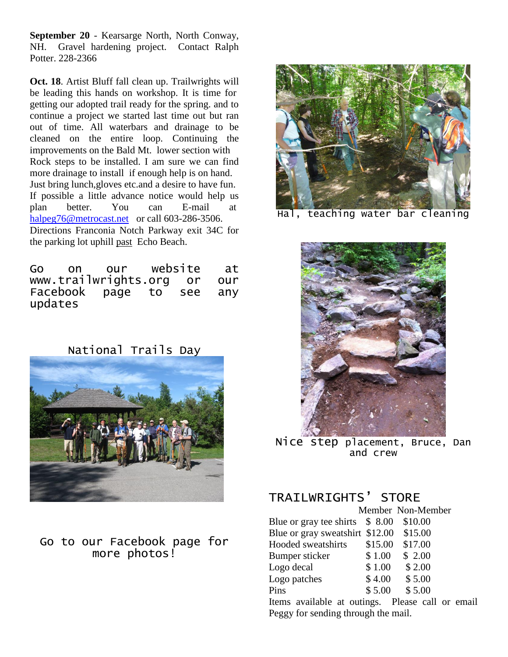**September 20** - Kearsarge North, North Conway, NH. Gravel hardening project. Contact Ralph Potter. 228-2366

**Oct. 18**. Artist Bluff fall clean up. Trailwrights will be leading this hands on workshop. It is time for getting our adopted trail ready for the spring. and to continue a project we started last time out but ran out of time. All waterbars and drainage to be cleaned on the entire loop. Continuing the improvements on the Bald Mt. lower section with Rock steps to be installed. I am sure we can find more drainage to install if enough help is on hand. Just bring lunch,gloves etc.and a desire to have fun. If possible a little advance notice would help us plan better. You can E-mail at [halpeg76@metrocast.net](mailto:halpeg76@metrocast.net) or call 603-286-3506. Directions Franconia Notch Parkway exit 34C for the parking lot uphill past Echo Beach.

|         | Go on our website at     |  |     |
|---------|--------------------------|--|-----|
|         | www.trailwrights.org or  |  | our |
|         | Facebook page to see any |  |     |
| updates |                          |  |     |

National Trails Day



### Go to our Facebook page for more photos!



Hal, teaching water bar cleaning



Nice step placement, Bruce, Dan and crew

## TRAILWRIGHTS' STORE

|                                                                                                                                                                                                                                                    | Member Non-Member |         |  |
|----------------------------------------------------------------------------------------------------------------------------------------------------------------------------------------------------------------------------------------------------|-------------------|---------|--|
| Blue or gray tee shirts $$8.00$                                                                                                                                                                                                                    |                   | \$10.00 |  |
| Blue or gray sweatshirt \$12.00                                                                                                                                                                                                                    |                   | \$15.00 |  |
| Hooded sweatshirts                                                                                                                                                                                                                                 | \$15.00           | \$17.00 |  |
| Bumper sticker                                                                                                                                                                                                                                     | \$1.00            | \$2.00  |  |
| Logo decal                                                                                                                                                                                                                                         | \$1.00            | \$2.00  |  |
| Logo patches                                                                                                                                                                                                                                       | \$4.00            | \$5.00  |  |
| Pins                                                                                                                                                                                                                                               | \$5.00            | \$5.00  |  |
| 111<br><b>T.</b><br>and the contract of the contract of the contract of the contract of the contract of the contract of the contract of the contract of the contract of the contract of the contract of the contract of the contract of the contra |                   | 11      |  |

Items available at outings. Please call or email Peggy for sending through the mail.